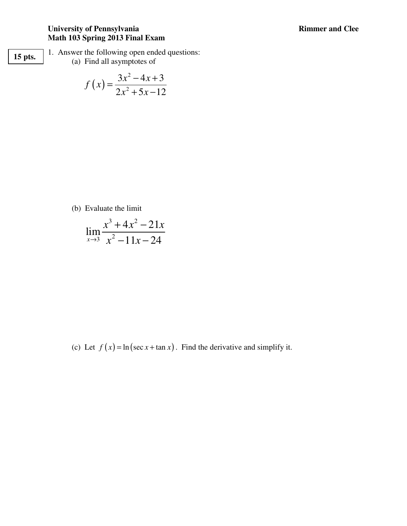**15 pts.** 

1. Answer the following open ended questions: (a) Find all asymptotes of

$$
f(x) = \frac{3x^2 - 4x + 3}{2x^2 + 5x - 12}
$$

(b) Evaluate the limit

$$
\lim_{x \to 3} \frac{x^3 + 4x^2 - 21x}{x^2 - 11x - 24}
$$

(c) Let  $f(x) = \ln (\sec x + \tan x)$ . Find the derivative and simplify it.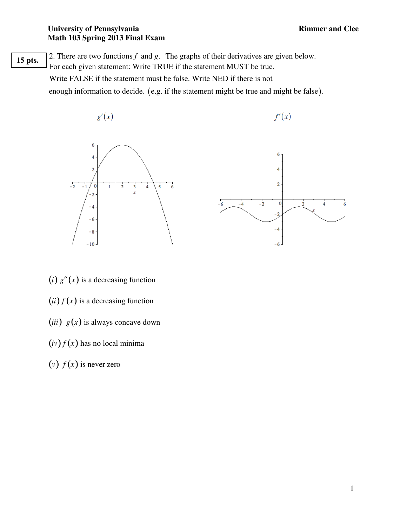2. There are two functions  $f$  and  $g$ . The graphs of their derivatives are given below. For each given statement: Write TRUE if the statement MUST be true. Write FALSE if the statement must be false. Write NED if there is not enough information to decide.  $(e.g.$  if the statement might be true and might be false. **15 pts.** 

$$
g'(x) \t\t f'(x)
$$





- $(i)$   $g''(x)$  is a decreasing function
- $(ii) f(x)$  is a decreasing function
- (*iii*)  $g(x)$  is always concave down
- $(iv) f(x)$  has no local minima
- (*v*)  $f(x)$  is never zero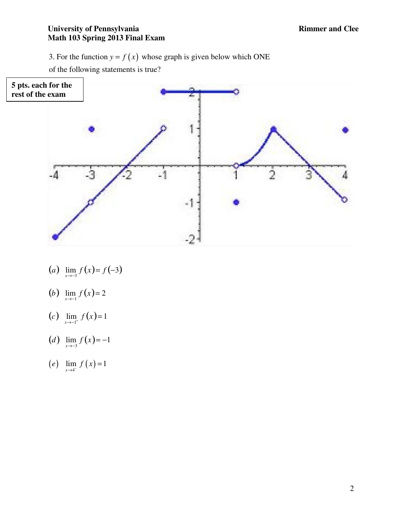3. For the function  $y = f(x)$  whose graph is given below which ONE

of the following statements is true?



- (*a*)  $\lim_{x \to -3} f(x) = f(-3)$
- (*b*)  $\lim_{x \to -1} f(x) = 2$
- (*c*)  $\lim_{x \to -1^+} f(x) = 1$
- (*d*)  $\lim_{x \to -3} f(x) = -1$
- $(e)$   $\lim_{x \to 4^{-}} f(x) = 1$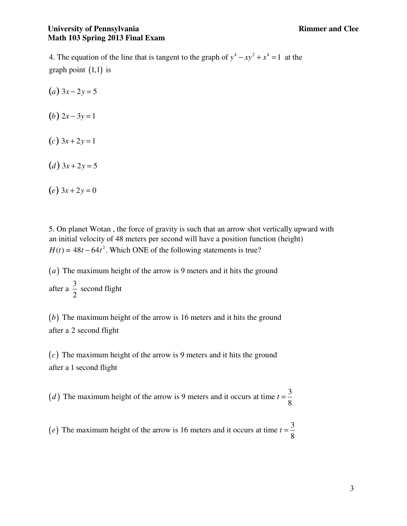graph point  $(1,1)$  is 4. The equation of the line that is tangent to the graph of  $y^4 - xy^2 + x^4 = 1$  at the

- $(a)$  3*x* − 2*y* = 5
- (*b*)  $2x 3y = 1$
- $(c)$  3*x* + 2*y* = 1
- (*d*)  $3x + 2y = 5$
- $(e) 3x + 2y = 0$

5. On planet Wotan , the force of gravity is such that an arrow shot vertically upward with an initial velocity of 48 meters per second will have a position function (height)  $H(t) = 48t - 64t^2$ . Which ONE of the following statements is true?

(*a*) The maximum height of the arrow is 9 meters and it hits the ground after a  $\frac{3}{2}$  second flight 2

( $b$ ) The maximum height of the arrow is 16 meters and it hits the ground after a 2 second flight

 $(c)$  The maximum height of the arrow is 9 meters and it hits the ground after a 1 second flight

(*d*) The maximum height of the arrow is 9 meters and it occurs at time  $t = \frac{3}{8}$ 8 *d*) The maximum height of the arrow is 9 meters and it occurs at time  $t =$ 

(*e*) The maximum height of the arrow is 16 meters and it occurs at time  $t = \frac{3}{8}$ 8  $t =$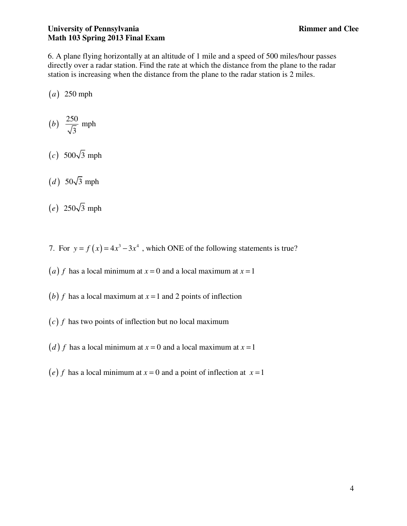6. A plane flying horizontally at an altitude of 1 mile and a speed of 500 miles/hour passes directly over a radar station. Find the rate at which the distance from the plane to the radar station is increasing when the distance from the plane to the radar station is 2 miles.

 $(a)$  250 mph

$$
(b) \frac{250}{\sqrt{3}} \text{ mph}
$$

- $(c)$  500 $\sqrt{3}$  mph
- $(d)$  50 $\sqrt{3}$  mph
- $(e)$  250 $\sqrt{3}$  mph
- 7. For  $y = f(x) = 4x^3 3x^4$ , which ONE of the following statements is true?
- (*a*) *f* has a local minimum at  $x = 0$  and a local maximum at  $x = 1$
- (b) f has a local maximum at  $x = 1$  and 2 points of inflection
- $(c)$   $f$  has two points of inflection but no local maximum
- (*d*) *f* has a local minimum at  $x = 0$  and a local maximum at  $x = 1$
- (e) f has a local minimum at  $x = 0$  and a point of inflection at  $x = 1$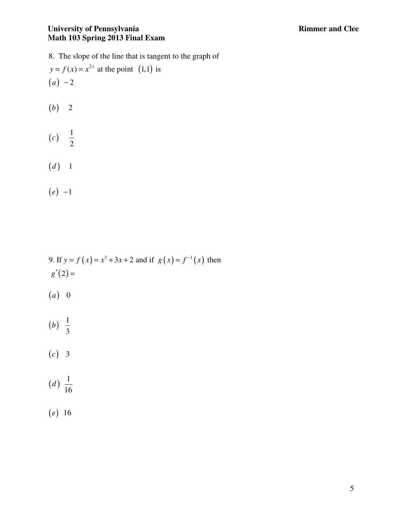$y = f(x) = x^{2x}$  at the point (1,1) is  $(a) -2$ 8. The slope of the line that is tangent to the graph of

- $(b) 2$
- $(c) \frac{1}{2}$ 2 *c*
- $(d)$  1
- $(e) -1$

9. If 
$$
y = f(x) = x^3 + 3x + 2
$$
 and if  $g(x) = f^{-1}(x)$  then  $g'(2) =$ 

- $(a) 0$
- $(b) \frac{1}{2}$ 3 *b*
- $(c)$  3
- $(d) \frac{1}{16}$ 16 *d*
- $(e) 16$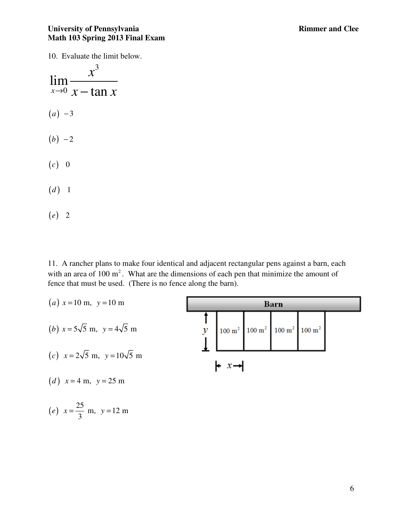10. Evaluate the limit below.



11. A rancher plans to make four identical and adjacent rectangular pens against a barn, each with an area of  $100 \text{ m}^2$ . What are the dimensions of each pen that minimize the amount of fence that must be used. (There is no fence along the barn).

 $(a)$   $x = 10$  m,  $y = 10$  m **Barn** î (*b*)  $x = 5\sqrt{5}$  m,  $y = 4\sqrt{5}$  m  $\mathcal{Y}$  $100 \text{ m}^2$  100 m<sup>2</sup>  $100 \text{ m}^2$  $100 \text{ m}^2$ (c)  $x = 2\sqrt{5}$  m,  $y = 10\sqrt{5}$  m  $\vdash x \rightarrow$ (*d*)  $x = 4$  m,  $y = 25$  m

(e) 
$$
x = \frac{25}{3}
$$
 m,  $y = 12$  m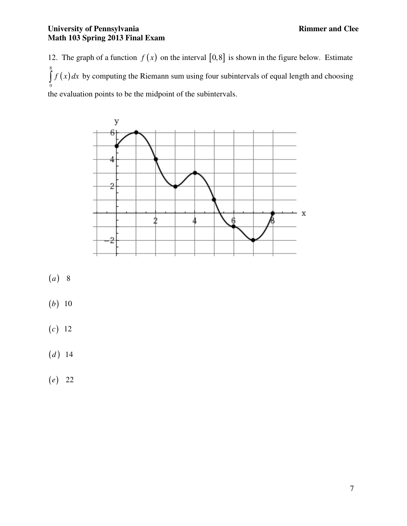12. The graph of a function  $f(x)$  on the interval [0,8] is shown in the figure below. Estimate  $\int_a^8 f(x)$  $\boldsymbol{0}$  $\int f(x) dx$  by computing the Riemann sum using four subintervals of equal length and choosing the evaluation points to be the midpoint of the subintervals.



- $(a)$  8
- $(b)$  10
- $(c) 12$
- $(d)$  14
- $(e) 22$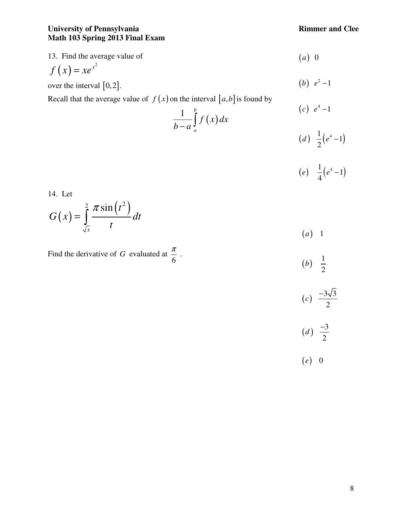13. Find the average value of  
\n
$$
f(x) = xe^{x^2}
$$
 over the interval [0,2].  
\n(b)  $e^2-1$ 

over the interval 
$$
[0,2]
$$
.

Recall that the average value of  $f(x)$  on the interval  $[a,b]$  is found by

$$
\frac{1}{b-a} \int_{a}^{b} f(x) dx
$$
\n
$$
(c) e^{4}-1
$$
\n
$$
(d) \frac{1}{2} (e^{4}-1)
$$

$$
(e) \quad \frac{1}{4}(e^4-1)
$$

2

14. Let

$$
G(x) = \int_{\sqrt{x}}^{2} \frac{\pi \sin(t^2)}{t} dt
$$
 (a) 1

Find the derivative of *G* evaluated at 6  $\frac{\pi}{\epsilon}$ .

$$
(b)  $\frac{1}{2}$ \n
$$
(c)  $\frac{-3\sqrt{3}}{2}$ \n
$$
(d)  $\frac{-3}{2}$
$$
$$
$$

( ) 0 *e*

8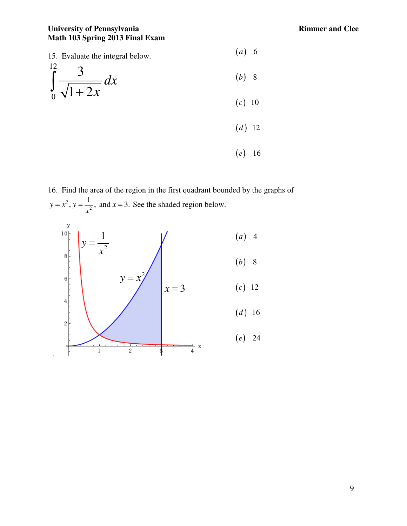

16. Find the area of the region in the first quadrant bounded by the graphs of 2 2  $y = x^2$ ,  $y = \frac{1}{x^2}$ , and  $x = 3$ . *x*  $=x^2$ ,  $y=\frac{1}{x^2}$ , and  $x=3$ . See the shaded region below.